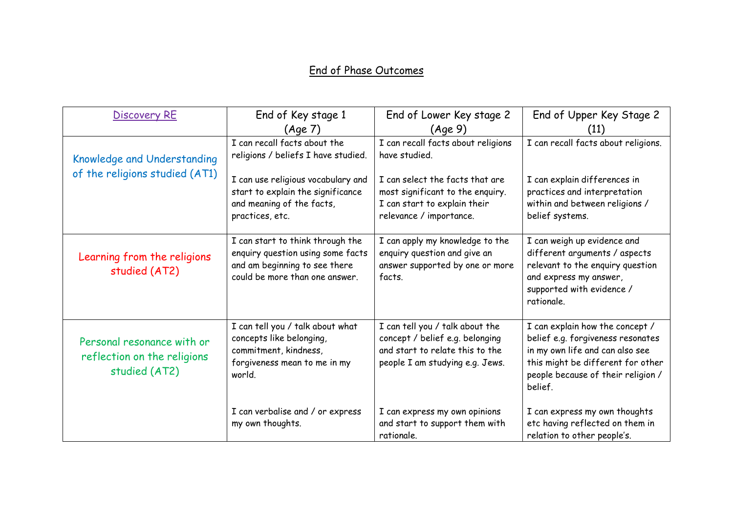## End of Phase Outcomes

| <b>Discovery RE</b>                                                        | End of Key stage 1                                                                                                                       | End of Lower Key stage 2                                                                                                                 | End of Upper Key Stage 2                                                                                                                                                                      |
|----------------------------------------------------------------------------|------------------------------------------------------------------------------------------------------------------------------------------|------------------------------------------------------------------------------------------------------------------------------------------|-----------------------------------------------------------------------------------------------------------------------------------------------------------------------------------------------|
|                                                                            | (Age 7)                                                                                                                                  | (Aqe 9)                                                                                                                                  | (11)                                                                                                                                                                                          |
| Knowledge and Understanding                                                | I can recall facts about the<br>religions / beliefs I have studied.                                                                      | I can recall facts about religions<br>have studied.                                                                                      | I can recall facts about religions.                                                                                                                                                           |
| of the religions studied (AT1)                                             | I can use religious vocabulary and<br>start to explain the significance<br>and meaning of the facts,<br>practices, etc.                  | I can select the facts that are<br>most significant to the enquiry.<br>I can start to explain their<br>relevance / importance.           | I can explain differences in<br>practices and interpretation<br>within and between religions /<br>belief systems.                                                                             |
| Learning from the religions<br>studied (AT2)                               | I can start to think through the<br>enquiry question using some facts<br>and am beginning to see there<br>could be more than one answer. | I can apply my knowledge to the<br>enquiry question and give an<br>answer supported by one or more<br>facts.                             | I can weigh up evidence and<br>different arguments / aspects<br>relevant to the enquiry question<br>and express my answer,<br>supported with evidence /<br>rationale.                         |
| Personal resonance with or<br>reflection on the religions<br>studied (AT2) | I can tell you / talk about what<br>concepts like belonging,<br>commitment, kindness,<br>forgiveness mean to me in my<br>world.          | I can tell you / talk about the<br>concept / belief e.g. belonging<br>and start to relate this to the<br>people I am studying e.g. Jews. | I can explain how the concept /<br>belief e.g. forgiveness resonates<br>in my own life and can also see<br>this might be different for other<br>people because of their religion /<br>belief. |
|                                                                            | I can verbalise and / or express<br>my own thoughts.                                                                                     | I can express my own opinions<br>and start to support them with<br>rationale.                                                            | I can express my own thoughts<br>etc having reflected on them in<br>relation to other people's.                                                                                               |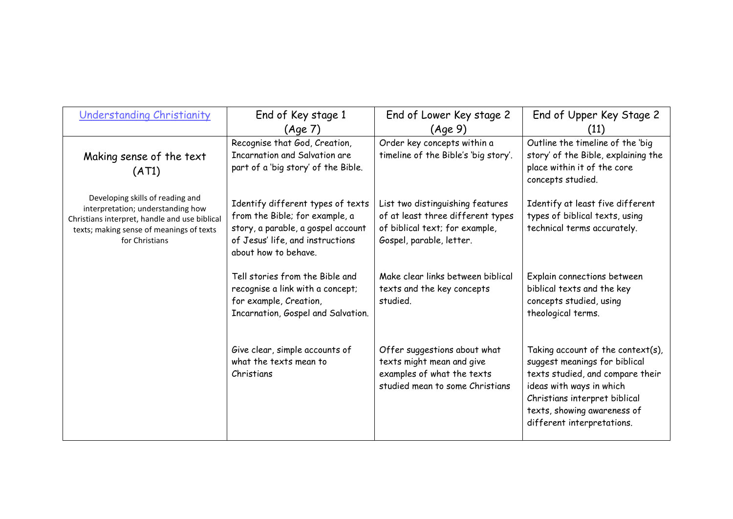| Understanding Christianity                                                                                                                                                           | End of Key stage 1<br>(Age 7)                                                                                                                                         | End of Lower Key stage 2<br>(Aqe 9)                                                                                                 | End of Upper Key Stage 2<br>(11)                                                                                                                                                                                                     |
|--------------------------------------------------------------------------------------------------------------------------------------------------------------------------------------|-----------------------------------------------------------------------------------------------------------------------------------------------------------------------|-------------------------------------------------------------------------------------------------------------------------------------|--------------------------------------------------------------------------------------------------------------------------------------------------------------------------------------------------------------------------------------|
| Making sense of the text<br>(AT1)                                                                                                                                                    | Recognise that God, Creation,<br>Incarnation and Salvation are<br>part of a 'big story' of the Bible.                                                                 | Order key concepts within a<br>timeline of the Bible's 'big story'.                                                                 | Outline the timeline of the 'big<br>story' of the Bible, explaining the<br>place within it of the core<br>concepts studied.                                                                                                          |
| Developing skills of reading and<br>interpretation; understanding how<br>Christians interpret, handle and use biblical<br>texts; making sense of meanings of texts<br>for Christians | Identify different types of texts<br>from the Bible; for example, a<br>story, a parable, a gospel account<br>of Jesus' life, and instructions<br>about how to behave. | List two distinguishing features<br>of at least three different types<br>of biblical text; for example,<br>Gospel, parable, letter. | Identify at least five different<br>types of biblical texts, using<br>technical terms accurately.                                                                                                                                    |
|                                                                                                                                                                                      | Tell stories from the Bible and<br>recognise a link with a concept;<br>for example, Creation,<br>Incarnation, Gospel and Salvation.                                   | Make clear links between biblical<br>texts and the key concepts<br>studied.                                                         | Explain connections between<br>biblical texts and the key<br>concepts studied, using<br>theological terms.                                                                                                                           |
|                                                                                                                                                                                      | Give clear, simple accounts of<br>what the texts mean to<br>Christians                                                                                                | Offer suggestions about what<br>texts might mean and give<br>examples of what the texts<br>studied mean to some Christians          | Taking account of the context $(s)$ ,<br>suggest meanings for biblical<br>texts studied, and compare their<br>ideas with ways in which<br>Christians interpret biblical<br>texts, showing awareness of<br>different interpretations. |